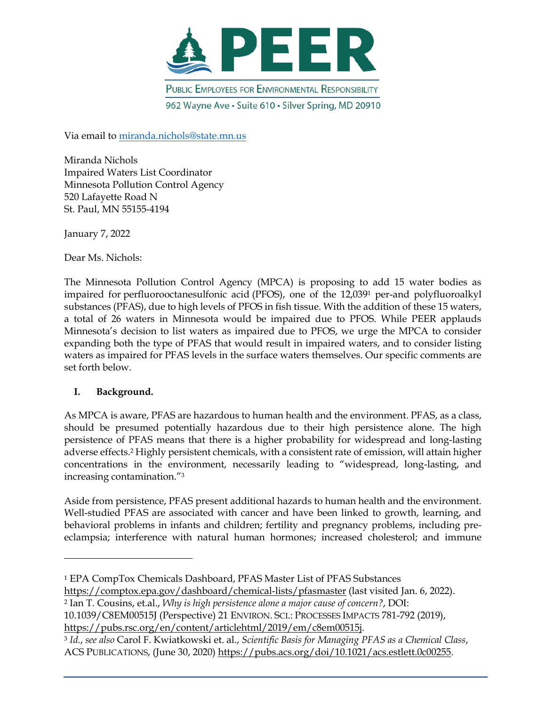

Via email to [miranda.nichols@state.mn.us](mailto:miranda.nichols@state.mn.us)

Miranda Nichols Impaired Waters List Coordinator Minnesota Pollution Control Agency 520 Lafayette Road N St. Paul, MN 55155-4194

January 7, 2022

Dear Ms. Nichols:

The Minnesota Pollution Control Agency (MPCA) is proposing to add 15 water bodies as impaired for perfluorooctanesulfonic acid (PFOS), one of the 12,039<sup>1</sup> per-and polyfluoroalkyl substances (PFAS), due to high levels of PFOS in fish tissue. With the addition of these 15 waters, a total of 26 waters in Minnesota would be impaired due to PFOS. While PEER applauds Minnesota's decision to list waters as impaired due to PFOS, we urge the MPCA to consider expanding both the type of PFAS that would result in impaired waters, and to consider listing waters as impaired for PFAS levels in the surface waters themselves. Our specific comments are set forth below.

# **I. Background.**

As MPCA is aware, PFAS are hazardous to human health and the environment. PFAS, as a class, should be presumed potentially hazardous due to their high persistence alone. The high persistence of PFAS means that there is a higher probability for widespread and long-lasting adverse effects.<sup>2</sup> Highly persistent chemicals, with a consistent rate of emission, will attain higher concentrations in the environment, necessarily leading to "widespread, long-lasting, and increasing contamination."<sup>3</sup>

Aside from persistence, PFAS present additional hazards to human health and the environment. Well-studied PFAS are associated with cancer and have been linked to growth, learning, and behavioral problems in infants and children; fertility and pregnancy problems, including preeclampsia; interference with natural human hormones; increased cholesterol; and immune

<https://comptox.epa.gov/dashboard/chemical-lists/pfasmaster> (last visited Jan. 6, 2022).

<sup>2</sup> Ian T. Cousins, et.al., *Why is high persistence alone a major cause of concern?*, DOI:

10.1039/C8EM00515J (Perspective) 21 ENVIRON. SCI.: PROCESSES IMPACTS 781-792 (2019), [https://pubs.rsc.org/en/content/articlehtml/2019/em/c8em00515j.](https://pubs.rsc.org/en/content/articlehtml/2019/em/c8em00515j)

<sup>1</sup> EPA CompTox Chemicals Dashboard, PFAS Master List of PFAS Substances

<sup>3</sup> *Id.*, *see also* Carol F. Kwiatkowski et. al., *Scientific Basis for Managing PFAS as a Chemical Class*, ACS PUBLICATIONS, (June 30, 2020) [https://pubs.acs.org/doi/10.1021/acs.estlett.0c00255.](https://pubs.acs.org/doi/10.1021/acs.estlett.0c00255)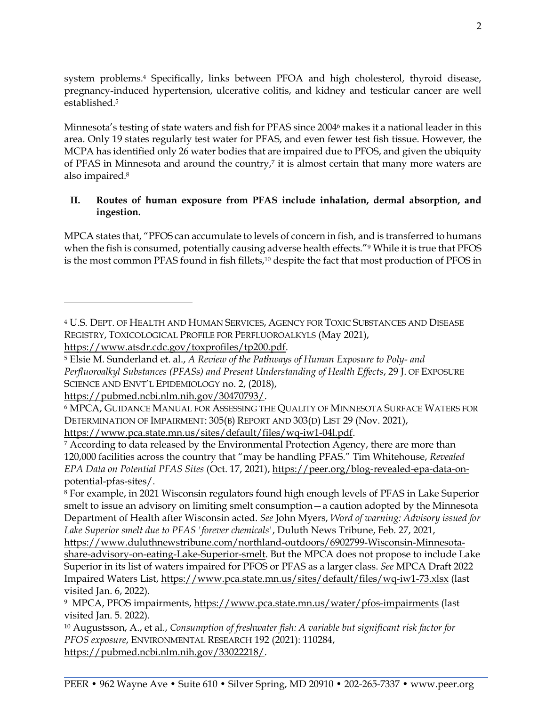system problems.<sup>4</sup> Specifically, links between PFOA and high cholesterol, thyroid disease, pregnancy-induced hypertension, ulcerative colitis, and kidney and testicular cancer are well established.<sup>5</sup>

Minnesota's testing of state waters and fish for PFAS since 2004<sup>6</sup> makes it a national leader in this area. Only 19 states regularly test water for PFAS, and even fewer test fish tissue. However, the MCPA has identified only 26 water bodies that are impaired due to PFOS, and given the ubiquity of PFAS in Minnesota and around the country,7 it is almost certain that many more waters are also impaired.<sup>8</sup>

## **II. Routes of human exposure from PFAS include inhalation, dermal absorption, and ingestion.**

MPCA states that, "PFOS can accumulate to levels of concern in fish, and is transferred to humans when the fish is consumed, potentially causing adverse health effects."<sup>9</sup> While it is true that PFOS is the most common PFAS found in fish fillets,<sup>10</sup> despite the fact that most production of PFOS in

[https://pubmed.ncbi.nlm.nih.gov/30470793/.](https://pubmed.ncbi.nlm.nih.gov/30470793/)

[https://www.pca.state.mn.us/sites/default/files/wq-iw1-04l.pdf.](https://www.pca.state.mn.us/sites/default/files/wq-iw1-04l.pdf)

<sup>4</sup> U.S. DEPT. OF HEALTH AND HUMAN SERVICES, AGENCY FOR TOXIC SUBSTANCES AND DISEASE REGISTRY, TOXICOLOGICAL PROFILE FOR PERFLUOROALKYLS (May 2021), [https://www.atsdr.cdc.gov/toxprofiles/tp200.pdf.](https://www.atsdr.cdc.gov/toxprofiles/tp200.pdf)

<sup>5</sup> Elsie M. Sunderland et. al., *A Review of the Pathways of Human Exposure to Poly- and Perfluoroalkyl Substances (PFASs) and Present Understanding of Health Effects*, 29 J. OF EXPOSURE SCIENCE AND ENVT'L EPIDEMIOLOGY no. 2, (2018),

<sup>6</sup> MPCA, GUIDANCE MANUAL FOR ASSESSING THE QUALITY OF MINNESOTA SURFACE WATERS FOR DETERMINATION OF IMPAIRMENT: 305(B) REPORT AND 303(D) LIST 29 (Nov. 2021),

<sup>&</sup>lt;sup>7</sup> According to data released by the Environmental Protection Agency, there are more than 120,000 facilities across the country that "may be handling PFAS." Tim Whitehouse, *Revealed EPA Data on Potential PFAS Sites* (Oct. 17, 2021), [https://peer.org/blog-revealed-epa-data-on](https://peer.org/blog-revealed-epa-data-on-potential-pfas-sites/)[potential-pfas-sites/.](https://peer.org/blog-revealed-epa-data-on-potential-pfas-sites/)

<sup>8</sup> For example, in 2021 Wisconsin regulators found high enough levels of PFAS in Lake Superior smelt to issue an advisory on limiting smelt consumption—a caution adopted by the Minnesota Department of Health after Wisconsin acted. *See* John Myers, *Word of warning: Advisory issued for Lake Superior smelt due to PFAS 'forever chemicals'*, Duluth News Tribune, Feb. 27, 2021,

[https://www.duluthnewstribune.com/northland-outdoors/6902799-Wisconsin-Minnesota](https://www.duluthnewstribune.com/northland-outdoors/6902799-Wisconsin-Minnesota-share-advisory-on-eating-Lake-Superior-smelt)[share-advisory-on-eating-Lake-Superior-smelt.](https://www.duluthnewstribune.com/northland-outdoors/6902799-Wisconsin-Minnesota-share-advisory-on-eating-Lake-Superior-smelt) But the MPCA does not propose to include Lake Superior in its list of waters impaired for PFOS or PFAS as a larger class. *See* MPCA Draft 2022 Impaired Waters List,<https://www.pca.state.mn.us/sites/default/files/wq-iw1-73.xlsx> (last visited Jan. 6, 2022).

<sup>9</sup> MPCA, PFOS impairments,<https://www.pca.state.mn.us/water/pfos-impairments> (last visited Jan. 5. 2022).

<sup>10</sup> Augustsson, A., et al., *Consumption of freshwater fish: A variable but significant risk factor for PFOS exposure*, ENVIRONMENTAL RESEARCH 192 (2021): 110284, [https://pubmed.ncbi.nlm.nih.gov/33022218/.](https://pubmed.ncbi.nlm.nih.gov/33022218/)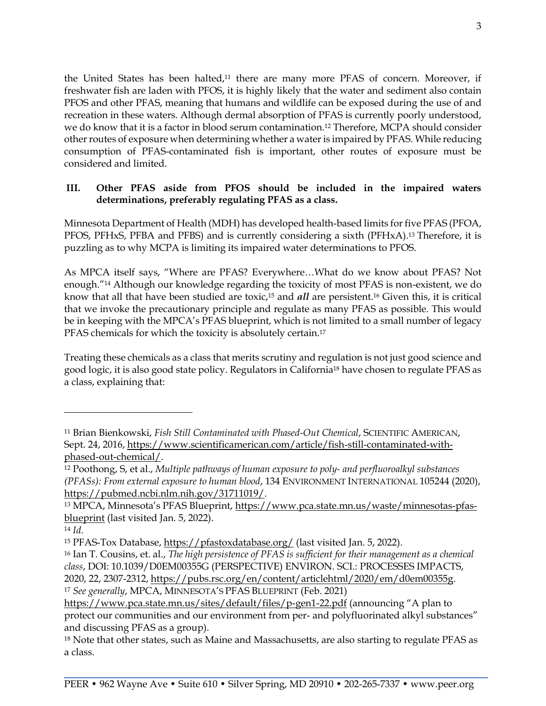the United States has been halted,<sup>11</sup> there are many more PFAS of concern. Moreover, if freshwater fish are laden with PFOS, it is highly likely that the water and sediment also contain PFOS and other PFAS, meaning that humans and wildlife can be exposed during the use of and recreation in these waters. Although dermal absorption of PFAS is currently poorly understood, we do know that it is a factor in blood serum contamination.<sup>12</sup> Therefore, MCPA should consider other routes of exposure when determining whether a water is impaired by PFAS. While reducing consumption of PFAS-contaminated fish is important, other routes of exposure must be considered and limited.

## **III. Other PFAS aside from PFOS should be included in the impaired waters determinations, preferably regulating PFAS as a class.**

Minnesota Department of Health (MDH) has developed health-based limits for five PFAS (PFOA, PFOS, PFHxS, PFBA and PFBS) and is currently considering a sixth (PFHxA).<sup>13</sup> Therefore, it is puzzling as to why MCPA is limiting its impaired water determinations to PFOS.

As MPCA itself says, "Where are PFAS? Everywhere…What do we know about PFAS? Not enough."<sup>14</sup> Although our knowledge regarding the toxicity of most PFAS is non-existent, we do know that all that have been studied are toxic,<sup>15</sup> and *all* are persistent.<sup>16</sup> Given this, it is critical that we invoke the precautionary principle and regulate as many PFAS as possible. This would be in keeping with the MPCA's PFAS blueprint, which is not limited to a small number of legacy PFAS chemicals for which the toxicity is absolutely certain.<sup>17</sup>

Treating these chemicals as a class that merits scrutiny and regulation is not just good science and good logic, it is also good state policy. Regulators in California<sup>18</sup> have chosen to regulate PFAS as a class, explaining that:

<sup>11</sup> Brian Bienkowski, *Fish Still Contaminated with Phased-Out Chemical*, SCIENTIFIC AMERICAN, Sept. 24, 2016, [https://www.scientificamerican.com/article/fish-still-contaminated-with](https://www.scientificamerican.com/article/fish-still-contaminated-with-phased-out-chemical/)[phased-out-chemical/.](https://www.scientificamerican.com/article/fish-still-contaminated-with-phased-out-chemical/)

<sup>12</sup> Poothong, S, et al., *Multiple pathways of human exposure to poly- and perfluoroalkyl substances (PFASs): From external exposure to human blood*, 134 ENVIRONMENT INTERNATIONAL 105244 (2020), [https://pubmed.ncbi.nlm.nih.gov/31711019/.](https://pubmed.ncbi.nlm.nih.gov/31711019/)

<sup>13</sup> MPCA, Minnesota's PFAS Blueprint, [https://www.pca.state.mn.us/waste/minnesotas-pfas](https://www.pca.state.mn.us/waste/minnesotas-pfas-blueprint)[blueprint](https://www.pca.state.mn.us/waste/minnesotas-pfas-blueprint) (last visited Jan. 5, 2022).

<sup>14</sup> *Id.*

<sup>15</sup> PFAS-Tox Database,<https://pfastoxdatabase.org/> (last visited Jan. 5, 2022).

<sup>16</sup> Ian T. Cousins, et. al., *The high persistence of PFAS is sufficient for their management as a chemical class*, DOI: 10.1039/D0EM00355G (PERSPECTIVE) ENVIRON. SCI.: PROCESSES IMPACTS, 2020, 22, 2307-2312, [https://pubs.rsc.org/en/content/articlehtml/2020/em/d0em00355g.](https://pubs.rsc.org/en/content/articlehtml/2020/em/d0em00355g)

<sup>17</sup> *See generally*, MPCA, MINNESOTA'S PFAS BLUEPRINT (Feb. 2021)

<https://www.pca.state.mn.us/sites/default/files/p-gen1-22.pdf> (announcing "A plan to protect our communities and our environment from per- and polyfluorinated alkyl substances" and discussing PFAS as a group).

<sup>&</sup>lt;sup>18</sup> Note that other states, such as Maine and Massachusetts, are also starting to regulate PFAS as a class.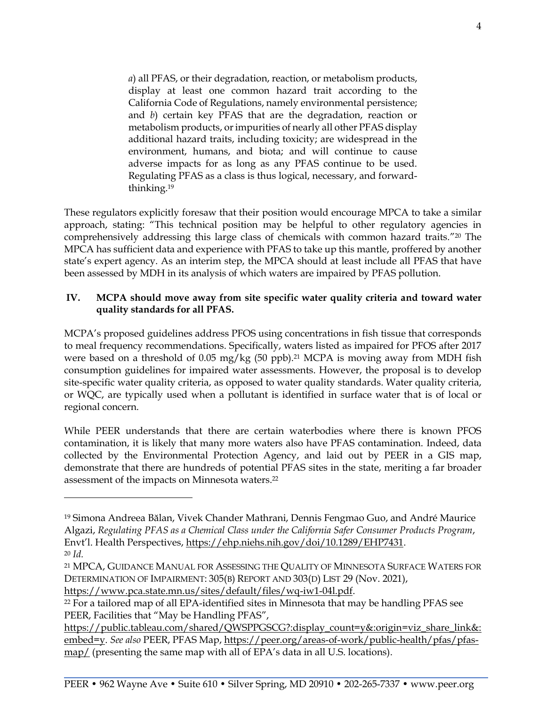*a*) all PFAS, or their degradation, reaction, or metabolism products, display at least one common hazard trait according to the California Code of Regulations, namely environmental persistence; and *b*) certain key PFAS that are the degradation, reaction or metabolism products, or impurities of nearly all other PFAS display additional hazard traits, including toxicity; are widespread in the environment, humans, and biota; and will continue to cause adverse impacts for as long as any PFAS continue to be used. Regulating PFAS as a class is thus logical, necessary, and forwardthinking.<sup>19</sup>

These regulators explicitly foresaw that their position would encourage MPCA to take a similar approach, stating: "This technical position may be helpful to other regulatory agencies in comprehensively addressing this large class of chemicals with common hazard traits."<sup>20</sup> The MPCA has sufficient data and experience with PFAS to take up this mantle, proffered by another state's expert agency. As an interim step, the MPCA should at least include all PFAS that have been assessed by MDH in its analysis of which waters are impaired by PFAS pollution.

#### **IV. MCPA should move away from site specific water quality criteria and toward water quality standards for all PFAS.**

MCPA's proposed guidelines address PFOS using concentrations in fish tissue that corresponds to meal frequency recommendations. Specifically, waters listed as impaired for PFOS after 2017 were based on a threshold of 0.05 mg/kg (50 ppb).<sup>21</sup> MCPA is moving away from MDH fish consumption guidelines for impaired water assessments. However, the proposal is to develop site-specific water quality criteria, as opposed to water quality standards. Water quality criteria, or WQC, are typically used when a pollutant is identified in surface water that is of local or regional concern.

While PEER understands that there are certain waterbodies where there is known PFOS contamination, it is likely that many more waters also have PFAS contamination. Indeed, data collected by the Environmental Protection Agency, and laid out by PEER in a GIS map, demonstrate that there are hundreds of potential PFAS sites in the state, meriting a far broader assessment of the impacts on Minnesota waters.<sup>22</sup>

[https://www.pca.state.mn.us/sites/default/files/wq-iw1-04l.pdf.](https://www.pca.state.mn.us/sites/default/files/wq-iw1-04l.pdf)

[https://public.tableau.com/shared/QWSPPGSCG?:display\\_count=y&:origin=viz\\_share\\_link&:](https://public.tableau.com/shared/QWSPPGSCG?:display_count=y&:origin=viz_share_link&:embed=y) [embed=y.](https://public.tableau.com/shared/QWSPPGSCG?:display_count=y&:origin=viz_share_link&:embed=y) *See also* PEER, PFAS Map, [https://peer.org/areas-of-work/public-health/pfas/pfas](https://peer.org/areas-of-work/public-health/pfas/pfas-map/)[map/](https://peer.org/areas-of-work/public-health/pfas/pfas-map/) (presenting the same map with all of EPA's data in all U.S. locations).

<sup>19</sup> Simona Andreea Bălan, Vivek Chander Mathrani, Dennis Fengmao Guo, and André Maurice Algazi, *Regulating PFAS as a Chemical Class under the California Safer Consumer Products Program*, Envt'l. Health Perspectives, [https://ehp.niehs.nih.gov/doi/10.1289/EHP7431.](https://ehp.niehs.nih.gov/doi/10.1289/EHP7431) <sup>20</sup> *Id.* 

<sup>21</sup> MPCA, GUIDANCE MANUAL FOR ASSESSING THE QUALITY OF MINNESOTA SURFACE WATERS FOR DETERMINATION OF IMPAIRMENT: 305(B) REPORT AND 303(D) LIST 29 (Nov. 2021),

<sup>&</sup>lt;sup>22</sup> For a tailored map of all EPA-identified sites in Minnesota that may be handling PFAS see PEER, Facilities that "May be Handling PFAS",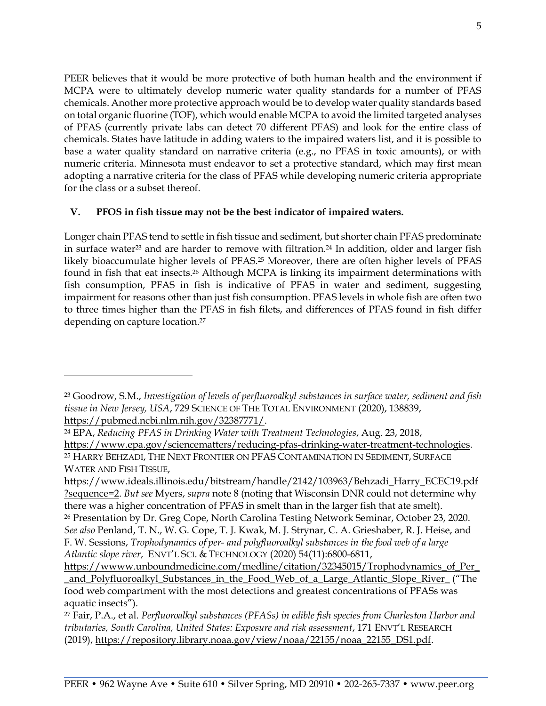PEER believes that it would be more protective of both human health and the environment if MCPA were to ultimately develop numeric water quality standards for a number of PFAS chemicals. Another more protective approach would be to develop water quality standards based on total organic fluorine (TOF), which would enable MCPA to avoid the limited targeted analyses of PFAS (currently private labs can detect 70 different PFAS) and look for the entire class of chemicals. States have latitude in adding waters to the impaired waters list, and it is possible to base a water quality standard on narrative criteria (e.g., no PFAS in toxic amounts), or with numeric criteria. Minnesota must endeavor to set a protective standard, which may first mean adopting a narrative criteria for the class of PFAS while developing numeric criteria appropriate for the class or a subset thereof.

## **V. PFOS in fish tissue may not be the best indicator of impaired waters.**

Longer chain PFAS tend to settle in fish tissue and sediment, but shorter chain PFAS predominate in surface water<sup>23</sup> and are harder to remove with filtration. <sup>24</sup> In addition, older and larger fish likely bioaccumulate higher levels of PFAS.<sup>25</sup> Moreover, there are often higher levels of PFAS found in fish that eat insects.<sup>26</sup> Although MCPA is linking its impairment determinations with fish consumption, PFAS in fish is indicative of PFAS in water and sediment, suggesting impairment for reasons other than just fish consumption. PFAS levels in whole fish are often two to three times higher than the PFAS in fish filets, and differences of PFAS found in fish differ depending on capture location.<sup>27</sup>

<sup>23</sup> Goodrow, S.M., *Investigation of levels of perfluoroalkyl substances in surface water, sediment and fish tissue in New Jersey, USA*, 729 SCIENCE OF THE TOTAL ENVIRONMENT (2020), 138839, [https://pubmed.ncbi.nlm.nih.gov/32387771/.](https://pubmed.ncbi.nlm.nih.gov/32387771/)

<sup>24</sup> EPA, *Reducing PFAS in Drinking Water with Treatment Technologies*, Aug. 23, 2018, [https://www.epa.gov/sciencematters/reducing-pfas-drinking-water-treatment-technologies.](https://www.epa.gov/sciencematters/reducing-pfas-drinking-water-treatment-technologies) <sup>25</sup> HARRY BEHZADI, THE NEXT FRONTIER ON PFAS CONTAMINATION IN SEDIMENT, SURFACE WATER AND FISH TISSUE,

[https://www.ideals.illinois.edu/bitstream/handle/2142/103963/Behzadi\\_Harry\\_ECEC19.pdf](https://www.ideals.illinois.edu/bitstream/handle/2142/103963/Behzadi_Harry_ECEC19.pdf?sequence=2) [?sequence=2.](https://www.ideals.illinois.edu/bitstream/handle/2142/103963/Behzadi_Harry_ECEC19.pdf?sequence=2) *But see* Myers, *supra* note 8 (noting that Wisconsin DNR could not determine why there was a higher concentration of PFAS in smelt than in the larger fish that ate smelt).

<sup>26</sup> Presentation by Dr. Greg Cope, North Carolina Testing Network Seminar, October 23, 2020. *See also* Penland, T. N., W. G. Cope, T. J. Kwak, M. J. Strynar, C. A. Grieshaber, R. J. Heise, and F. W. Sessions, *Trophodynamics of per- and polyfluoroalkyl substances in the food web of a large Atlantic slope river*, ENVT'L SCI. & TECHNOLOGY (2020) 54(11):6800-6811,

[https://wwww.unboundmedicine.com/medline/citation/32345015/Trophodynamics\\_of\\_Per\\_](https://wwww.unboundmedicine.com/medline/citation/32345015/Trophodynamics_of_Per__and_Polyfluoroalkyl_Substances_in_the_Food_Web_of_a_Large_Atlantic_Slope_River_) [\\_and\\_Polyfluoroalkyl\\_Substances\\_in\\_the\\_Food\\_Web\\_of\\_a\\_Large\\_Atlantic\\_Slope\\_River\\_](https://wwww.unboundmedicine.com/medline/citation/32345015/Trophodynamics_of_Per__and_Polyfluoroalkyl_Substances_in_the_Food_Web_of_a_Large_Atlantic_Slope_River_) ("The food web compartment with the most detections and greatest concentrations of PFASs was aquatic insects").

<sup>27</sup> Fair, P.A., et al. *Perfluoroalkyl substances (PFASs) in edible fish species from Charleston Harbor and tributaries, South Carolina, United States: Exposure and risk assessment*, 171 ENVT'L RESEARCH (2019), [https://repository.library.noaa.gov/view/noaa/22155/noaa\\_22155\\_DS1.pdf.](https://repository.library.noaa.gov/view/noaa/22155/noaa_22155_DS1.pdf)